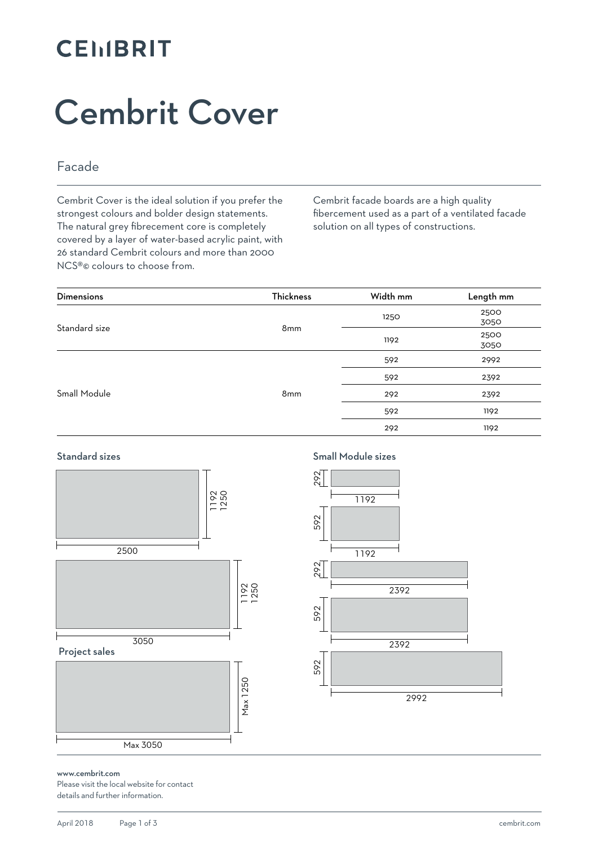### **CEMBRIT**

# Cembrit Cover

### Facade

Cembrit Cover is the ideal solution if you prefer the strongest colours and bolder design statements. The natural grey fibrecement core is completely covered by a layer of water-based acrylic paint, with 26 standard Cembrit colours and more than 2000 NCS®© colours to choose from.

Cembrit facade boards are a high quality fibercement used as a part of a ventilated facade solution on all types of constructions.

| <b>Dimensions</b> | Thickness | Width mm | Length mm |
|-------------------|-----------|----------|-----------|
| Standard size     |           | 1250     | 2500      |
|                   | 8mm       |          | 3050      |
|                   |           | 1192     | 2500      |
|                   |           |          | 3050      |
| Small Module      |           | 592      | 2992      |
|                   | 8mm       | 592      | 2392      |
|                   |           | 292      | 2392      |
|                   |           | 592      | 1192      |
|                   |           | 292      | 1192      |

#### Standard sizes



Small Module sizes



#### www.cembrit.com

Please visit the local website for contact details and further information.

Max 3050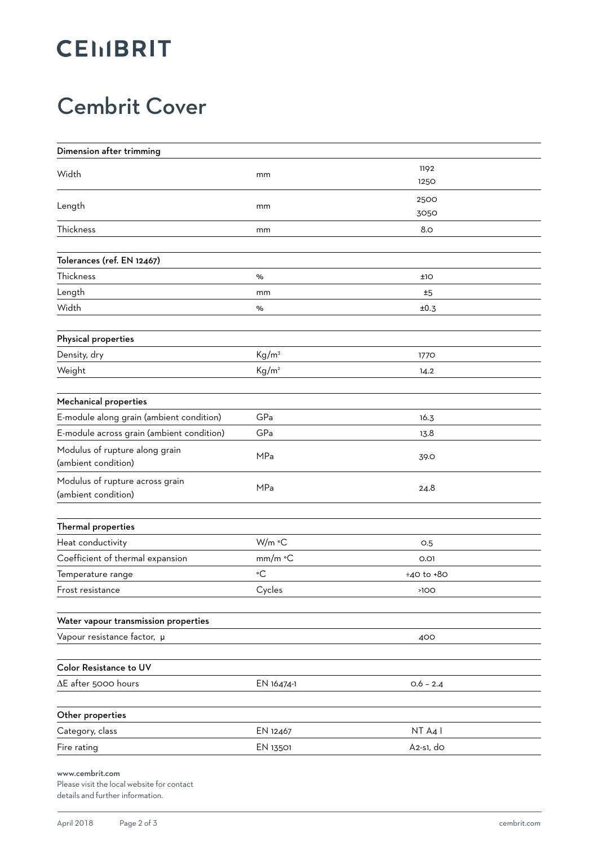### **CEMBRIT**

### Cembrit Cover

| Dimension after trimming                               |                   |             |  |
|--------------------------------------------------------|-------------------|-------------|--|
| Width                                                  | mm                | 1192        |  |
|                                                        |                   | 1250        |  |
| Length                                                 | mm                | 2500        |  |
|                                                        |                   | 3050        |  |
| Thickness                                              | mm                | 8.0         |  |
| Tolerances (ref. EN 12467)                             |                   |             |  |
| Thickness                                              | %                 | ±1O         |  |
| Length                                                 | mm                | #5          |  |
| Width                                                  | %                 | ±0.3        |  |
|                                                        |                   |             |  |
| Physical properties                                    |                   |             |  |
| Density, dry                                           | $Kg/m^3$          | 1770        |  |
| Weight                                                 | Kg/m <sup>2</sup> | 14.2        |  |
| Mechanical properties                                  |                   |             |  |
| E-module along grain (ambient condition)               | GPa               | 16.3        |  |
| E-module across grain (ambient condition)              | GPa               | 13.8        |  |
| Modulus of rupture along grain<br>(ambient condition)  | MPa               | 39.O        |  |
| Modulus of rupture across grain<br>(ambient condition) | MPa               | 24.8        |  |
|                                                        |                   |             |  |
| Thermal properties                                     |                   |             |  |
| Heat conductivity                                      | W/m °C            | O.5         |  |
| Coefficient of thermal expansion                       | mm/m °C           | 0.01        |  |
| Temperature range                                      | $\circ$ C         | ÷40 to +80  |  |
| Frost resistance                                       | Cycles            | >100        |  |
| Water vapour transmission properties                   |                   |             |  |
| Vapour resistance factor, µ                            |                   | 400         |  |
| Color Resistance to UV                                 |                   |             |  |
| $\Delta E$ after 5000 hours                            | EN 16474-1        | $0.6 - 2.4$ |  |
|                                                        |                   |             |  |
| Other properties                                       |                   |             |  |
| Category, class                                        | EN 12467          | NT A4 I     |  |
| Fire rating                                            | EN 13501          | $A2-s1,$ do |  |
| www.cembrit.com                                        |                   |             |  |

Please visit the local website for contact details and further information.